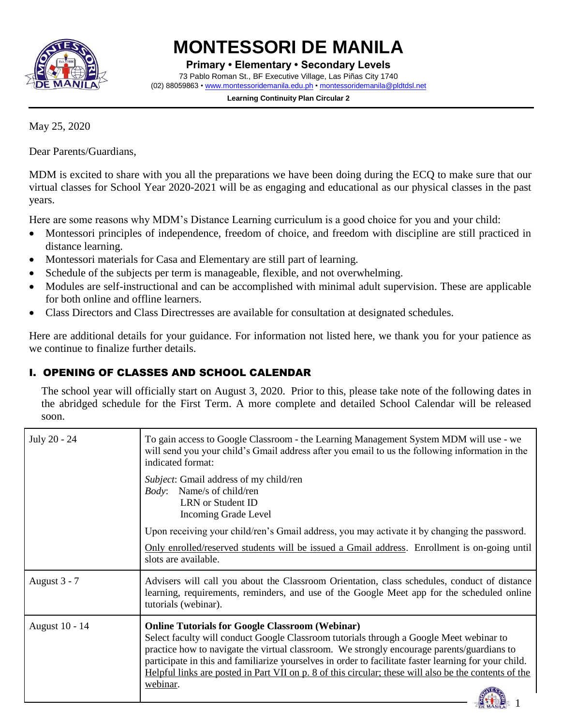

# **MONTESSORI DE MANILA**

**Primary • Elementary • Secondary Levels** 73 Pablo Roman St., BF Executive Village, Las Piñas City 1740 (02) 88059863 • [www.montessoridemanila.edu.ph](http://www.montessoridemanila.edu.ph/) [• montessoridemanila@pldtdsl.net](mailto:montessoridemanila@pldtdsl.net)

> **Learning Continuity Plan Circular 2** ------------------------

May 25, 2020

Dear Parents/Guardians,

MDM is excited to share with you all the preparations we have been doing during the ECQ to make sure that our virtual classes for School Year 2020-2021 will be as engaging and educational as our physical classes in the past years.

Here are some reasons why MDM's Distance Learning curriculum is a good choice for you and your child:

- Montessori principles of independence, freedom of choice, and freedom with discipline are still practiced in distance learning.
- Montessori materials for Casa and Elementary are still part of learning.
- Schedule of the subjects per term is manageable, flexible, and not overwhelming.
- Modules are self-instructional and can be accomplished with minimal adult supervision. These are applicable for both online and offline learners.
- Class Directors and Class Directresses are available for consultation at designated schedules.

Here are additional details for your guidance. For information not listed here, we thank you for your patience as we continue to finalize further details.

# I. OPENING OF CLASSES AND SCHOOL CALENDAR

The school year will officially start on August 3, 2020. Prior to this, please take note of the following dates in the abridged schedule for the First Term. A more complete and detailed School Calendar will be released soon.

| July 20 - 24   | To gain access to Google Classroom - the Learning Management System MDM will use - we<br>will send you your child's Gmail address after you email to us the following information in the<br>indicated format:                                                                                                                                                                                                                                                                 |
|----------------|-------------------------------------------------------------------------------------------------------------------------------------------------------------------------------------------------------------------------------------------------------------------------------------------------------------------------------------------------------------------------------------------------------------------------------------------------------------------------------|
|                | <i>Subject:</i> Gmail address of my child/ren<br><i>Body</i> : Name/s of child/ren<br>LRN or Student ID<br><b>Incoming Grade Level</b>                                                                                                                                                                                                                                                                                                                                        |
|                | Upon receiving your child/ren's Gmail address, you may activate it by changing the password.                                                                                                                                                                                                                                                                                                                                                                                  |
|                | Only enrolled/reserved students will be issued a Gmail address. Enrollment is on-going until<br>slots are available.                                                                                                                                                                                                                                                                                                                                                          |
| August 3 - 7   | Advisers will call you about the Classroom Orientation, class schedules, conduct of distance<br>learning, requirements, reminders, and use of the Google Meet app for the scheduled online<br>tutorials (webinar).                                                                                                                                                                                                                                                            |
| August 10 - 14 | <b>Online Tutorials for Google Classroom (Webinar)</b><br>Select faculty will conduct Google Classroom tutorials through a Google Meet webinar to<br>practice how to navigate the virtual classroom. We strongly encourage parents/guardians to<br>participate in this and familiarize yourselves in order to facilitate faster learning for your child.<br>Helpful links are posted in Part VII on p. 8 of this circular; these will also be the contents of the<br>webinar. |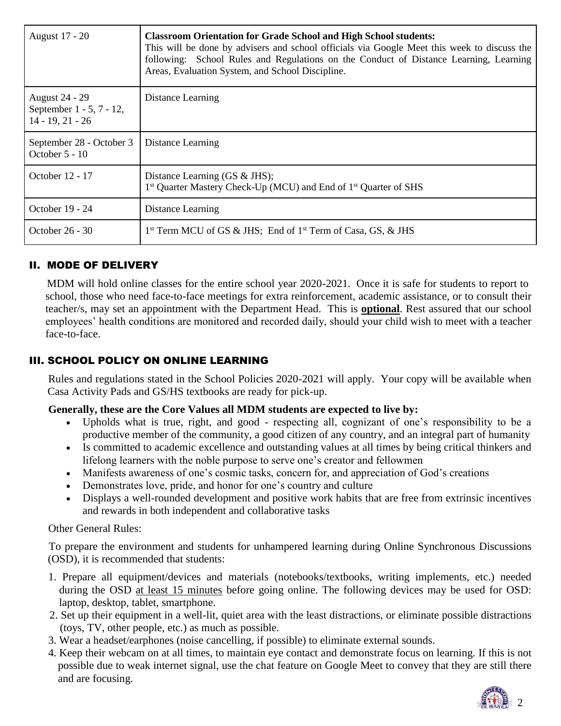| August 17 - 20                                                          | <b>Classroom Orientation for Grade School and High School students:</b><br>This will be done by advisers and school officials via Google Meet this week to discuss the<br>following: School Rules and Regulations on the Conduct of Distance Learning, Learning<br>Areas, Evaluation System, and School Discipline. |
|-------------------------------------------------------------------------|---------------------------------------------------------------------------------------------------------------------------------------------------------------------------------------------------------------------------------------------------------------------------------------------------------------------|
| <b>August 24 - 29</b><br>September 1 - 5, 7 - 12,<br>$14 - 19, 21 - 26$ | Distance Learning                                                                                                                                                                                                                                                                                                   |
| September 28 - October 3<br>October 5 - 10                              | Distance Learning                                                                                                                                                                                                                                                                                                   |
| October 12 - 17                                                         | Distance Learning (GS & JHS);<br>1 <sup>st</sup> Quarter Mastery Check-Up (MCU) and End of 1 <sup>st</sup> Quarter of SHS                                                                                                                                                                                           |
| October 19 - 24                                                         | Distance Learning                                                                                                                                                                                                                                                                                                   |
| October 26 - 30                                                         | 1 <sup>st</sup> Term MCU of GS & JHS; End of 1 <sup>st</sup> Term of Casa, GS, & JHS                                                                                                                                                                                                                                |

#### II. MODE OF DELIVERY

 MDM will hold online classes for the entire school year 2020-2021. Once it is safe for students to report to school, those who need face-to-face meetings for extra reinforcement, academic assistance, or to consult their teacher/s, may set an appointment with the Department Head. This is **optional**. Rest assured that our school employees' health conditions are monitored and recorded daily, should your child wish to meet with a teacher face-to-face.

# III. SCHOOL POLICY ON ONLINE LEARNING

Rules and regulations stated in the School Policies 2020-2021 will apply. Your copy will be available when Casa Activity Pads and GS/HS textbooks are ready for pick-up.

#### **Generally, these are the Core Values all MDM students are expected to live by:**

- Upholds what is true, right, and good respecting all, cognizant of one's responsibility to be a productive member of the community, a good citizen of any country, and an integral part of humanity
- Is committed to academic excellence and outstanding values at all times by being critical thinkers and lifelong learners with the noble purpose to serve one's creator and fellowmen
- Manifests awareness of one's cosmic tasks, concern for, and appreciation of God's creations
- Demonstrates love, pride, and honor for one's country and culture
- Displays a well-rounded development and positive work habits that are free from extrinsic incentives and rewards in both independent and collaborative tasks

Other General Rules:

To prepare the environment and students for unhampered learning during Online Synchronous Discussions (OSD), it is recommended that students:

- 1. Prepare all equipment/devices and materials (notebooks/textbooks, writing implements, etc.) needed during the OSD at least 15 minutes before going online. The following devices may be used for OSD: laptop, desktop, tablet, smartphone.
- 2. Set up their equipment in a well-lit, quiet area with the least distractions, or eliminate possible distractions (toys, TV, other people, etc.) as much as possible.
- 3. Wear a headset/earphones (noise cancelling, if possible) to eliminate external sounds.
- 4. Keep their webcam on at all times, to maintain eye contact and demonstrate focus on learning. If this is not possible due to weak internet signal, use the chat feature on Google Meet to convey that they are still there and are focusing.

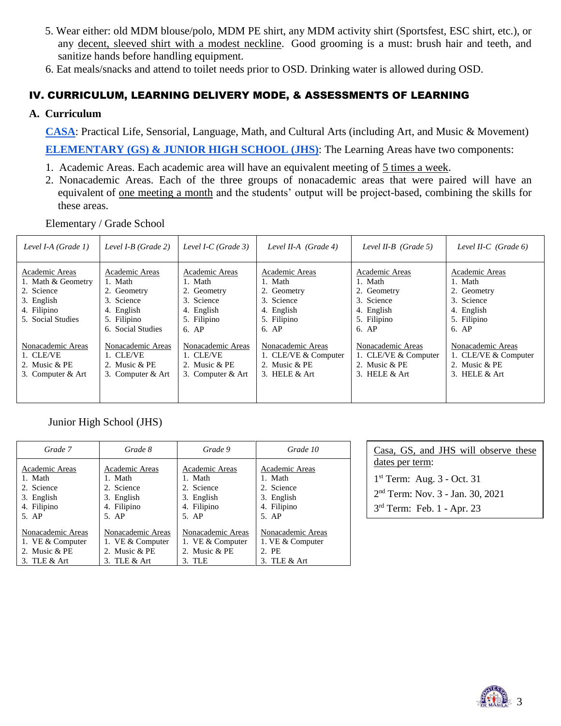- 5. Wear either: old MDM blouse/polo, MDM PE shirt, any MDM activity shirt (Sportsfest, ESC shirt, etc.), or any decent, sleeved shirt with a modest neckline. Good grooming is a must: brush hair and teeth, and sanitize hands before handling equipment.
- 6. Eat meals/snacks and attend to toilet needs prior to OSD. Drinking water is allowed during OSD.

# IV. CURRICULUM, LEARNING DELIVERY MODE, & ASSESSMENTS OF LEARNING

#### **A. Curriculum**

 **CASA**: Practical Life, Sensorial, Language, Math, and Cultural Arts (including Art, and Music & Movement)  **ELEMENTARY (GS) & JUNIOR HIGH SCHOOL (JHS)**: The Learning Areas have two components:

- 1. Academic Areas. Each academic area will have an equivalent meeting of 5 times a week.
- 2. Nonacademic Areas. Each of the three groups of nonacademic areas that were paired will have an equivalent of one meeting a month and the students' output will be project-based, combining the skills for these areas.

Elementary / Grade School

| Level I-A $(Grade 1)$                                                                                | Level $I-B$ (Grade 2)                                                                                    | Level I-C (Grade 3)                                                                            | Level II-A $(Grade 4)$                                                                         | Level II-B (Grade 5)                                                                           | Level II-C $(Grade 6)$                                                                         |
|------------------------------------------------------------------------------------------------------|----------------------------------------------------------------------------------------------------------|------------------------------------------------------------------------------------------------|------------------------------------------------------------------------------------------------|------------------------------------------------------------------------------------------------|------------------------------------------------------------------------------------------------|
| Academic Areas<br>1. Math & Geometry<br>2. Science<br>3. English<br>4. Filipino<br>5. Social Studies | Academic Areas<br>1. Math<br>2. Geometry<br>3. Science<br>4. English<br>5. Filipino<br>6. Social Studies | Academic Areas<br>1. Math<br>2. Geometry<br>3. Science<br>4. English<br>5. Filipino<br>$6.$ AP | Academic Areas<br>1. Math<br>2. Geometry<br>3. Science<br>4. English<br>5. Filipino<br>$6.$ AP | Academic Areas<br>1. Math<br>2. Geometry<br>3. Science<br>4. English<br>5. Filipino<br>$6.$ AP | Academic Areas<br>1. Math<br>2. Geometry<br>3. Science<br>4. English<br>5. Filipino<br>$6.$ AP |
| Nonacademic Areas<br>1. CLE/VE<br>2. Music $&$ PE<br>3. Computer & Art                               | Nonacademic Areas<br>1. CLE/VE<br>2. Music $&$ PE<br>3. Computer & Art                                   | Nonacademic Areas<br>1. CLE/VE<br>2. Music & PE<br>3. Computer & Art                           | Nonacademic Areas<br>1. CLE/VE & Computer<br>2. Music & PE<br>3. HELE $&$ Art                  | Nonacademic Areas<br>1. CLE/VE & Computer<br>2. Music & PE<br>3. HELE $&$ Art                  | Nonacademic Areas<br>1. CLE/VE & Computer<br>2. Music & PE<br>3. HELE $&$ Art                  |

Junior High School (JHS)

| Grade 7           | Grade 8           | Grade 9           | Grade 10          |
|-------------------|-------------------|-------------------|-------------------|
| Academic Areas    | Academic Areas    | Academic Areas    | Academic Areas    |
| 1. Math           | 1. Math           | 1. Math           | 1. Math           |
| 2. Science        | 2. Science        | 2. Science        | 2. Science        |
| 3. English        | 3. English        | 3. English        | 3. English        |
| 4. Filipino       | 4. Filipino       | 4. Filipino       | 4. Filipino       |
| $5.$ AP           | 5. AP             | 5. AP             | 5. AP             |
| Nonacademic Areas | Nonacademic Areas | Nonacademic Areas | Nonacademic Areas |
| 1. VE & Computer  | 1. VE & Computer  | 1. VE & Computer  | 1. VE & Computer  |
| 2. Music & PE     | 2. Music & PE     | 2. Music & PE     | 2. PE             |
| 3. TLE $&$ Art    | 3. TLE $&$ Art    | 3. TLE            | 3. TLE $&$ Art    |

| Casa, GS, and JHS will observe these         |  |  |  |
|----------------------------------------------|--|--|--|
| dates per term:                              |  |  |  |
| $1st$ Term: Aug. 3 - Oct. 31                 |  |  |  |
| 2 <sup>nd</sup> Term: Nov. 3 - Jan. 30, 2021 |  |  |  |
| $3rd$ Term: Feb. 1 - Apr. 23                 |  |  |  |

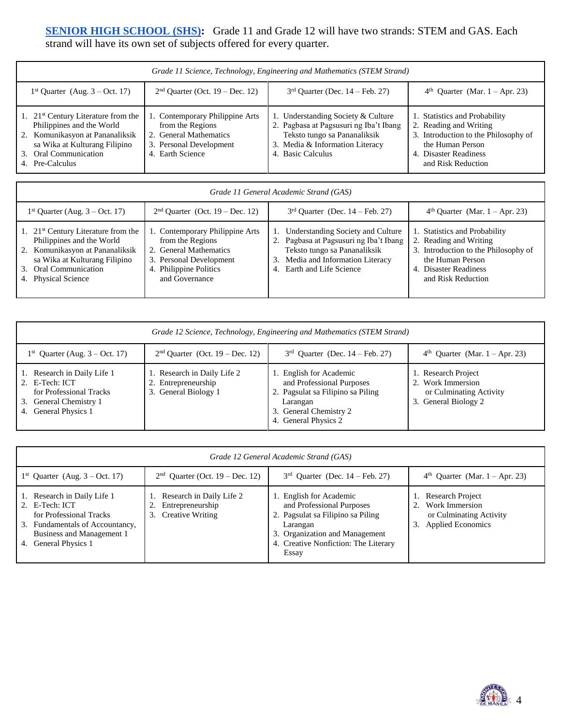### **SENIOR HIGH SCHOOL (SHS):** Grade 11 and Grade 12 will have two strands: STEM and GAS. Each strand will have its own set of subjects offered for every quarter.

| Grade 11 Science, Technology, Engineering and Mathematics (STEM Strand)                                                                                                                     |                                                                                                                              |                                                                                                                                                                      |                                                                                                                                                                    |  |
|---------------------------------------------------------------------------------------------------------------------------------------------------------------------------------------------|------------------------------------------------------------------------------------------------------------------------------|----------------------------------------------------------------------------------------------------------------------------------------------------------------------|--------------------------------------------------------------------------------------------------------------------------------------------------------------------|--|
| $1st$ Quarter (Aug. 3 – Oct. 17)                                                                                                                                                            | $2nd$ Quarter (Oct. 19 – Dec. 12)                                                                                            | $3rd$ Quarter (Dec. 14 – Feb. 27)                                                                                                                                    | $4th$ Quarter (Mar. 1 – Apr. 23)                                                                                                                                   |  |
| 1. $21st$ Century Literature from the<br>Philippines and the World<br>Komunikasyon at Pananaliksik<br>2.<br>sa Wika at Kulturang Filipino<br>Oral Communication<br>3.<br>Pre-Calculus<br>4. | 1. Contemporary Philippine Arts<br>from the Regions<br>2. General Mathematics<br>3. Personal Development<br>4. Earth Science | 1. Understanding Society & Culture<br>2. Pagbasa at Pagsusuri ng Iba't Ibang<br>Teksto tungo sa Pananaliksik<br>3. Media & Information Literacy<br>4. Basic Calculus | 1. Statistics and Probability<br>2. Reading and Writing<br>3. Introduction to the Philosophy of<br>the Human Person<br>4. Disaster Readiness<br>and Risk Reduction |  |

| Grade 11 General Academic Strand (GAS)                                                                                                                                                       |                                                                                                                                                      |                                                                                                                                                                               |                                                                                                                                                                    |  |
|----------------------------------------------------------------------------------------------------------------------------------------------------------------------------------------------|------------------------------------------------------------------------------------------------------------------------------------------------------|-------------------------------------------------------------------------------------------------------------------------------------------------------------------------------|--------------------------------------------------------------------------------------------------------------------------------------------------------------------|--|
| $1st$ Quarter (Aug. 3 – Oct. 17)                                                                                                                                                             | $2nd$ Quarter (Oct. 19 – Dec. 12)                                                                                                                    | $3rd$ Quarter (Dec. 14 – Feb. 27)                                                                                                                                             | $4th$ Quarter (Mar. 1 – Apr. 23)                                                                                                                                   |  |
| 1. $21^{st}$ Century Literature from the<br>Philippines and the World<br>2. Komunikasyon at Pananaliksik<br>sa Wika at Kulturang Filipino<br>Oral Communication<br>3.<br>4. Physical Science | 1. Contemporary Philippine Arts<br>from the Regions<br>2. General Mathematics<br>3. Personal Development<br>4. Philippine Politics<br>and Governance | Understanding Society and Culture<br>2. Pagbasa at Pagsusuri ng Iba't Ibang<br>Teksto tungo sa Pananaliksik<br>Media and Information Literacy<br>Earth and Life Science<br>4. | 1. Statistics and Probability<br>2. Reading and Writing<br>3. Introduction to the Philosophy of<br>the Human Person<br>4. Disaster Readiness<br>and Risk Reduction |  |

| Grade 12 Science, Technology, Engineering and Mathematics (STEM Strand)                                                              |                                                                            |                                                                                                                                                         |                                                                                             |  |
|--------------------------------------------------------------------------------------------------------------------------------------|----------------------------------------------------------------------------|---------------------------------------------------------------------------------------------------------------------------------------------------------|---------------------------------------------------------------------------------------------|--|
| $1st$ Quarter (Aug. 3 – Oct. 17)                                                                                                     | $2nd$ Ouarter (Oct. 19 – Dec. 12)                                          | $3rd$ Ouarter (Dec. 14 – Feb. 27)                                                                                                                       | $4th$ Quarter (Mar. 1 – Apr. 23)                                                            |  |
| Research in Daily Life 1<br>2. E-Tech: ICT<br>for Professional Tracks<br>General Chemistry 1<br>3.<br><b>General Physics 1</b><br>4. | 1. Research in Daily Life 2<br>2. Entrepreneurship<br>3. General Biology 1 | 1. English for Academic<br>and Professional Purposes<br>2. Pagsulat sa Filipino sa Piling<br>Larangan<br>3. General Chemistry 2<br>4. General Physics 2 | 1. Research Project<br>2. Work Immersion<br>or Culminating Activity<br>3. General Biology 2 |  |

| Grade 12 General Academic Strand (GAS)                                                                                                                                     |                                                                  |                                                                                                                                                                                          |                                                                                                     |  |
|----------------------------------------------------------------------------------------------------------------------------------------------------------------------------|------------------------------------------------------------------|------------------------------------------------------------------------------------------------------------------------------------------------------------------------------------------|-----------------------------------------------------------------------------------------------------|--|
| $1st$ Quarter (Aug. 3 – Oct. 17)                                                                                                                                           | $2nd$ Quarter (Oct. 19 – Dec. 12)                                | $3rd$ Quarter (Dec. 14 – Feb. 27)                                                                                                                                                        | $4th$ Quarter (Mar. 1 – Apr. 23)                                                                    |  |
| 1. Research in Daily Life 1<br>2. E-Tech: ICT<br>for Professional Tracks<br>3. Fundamentals of Accountancy,<br>Business and Management 1<br><b>General Physics 1</b><br>4. | Research in Daily Life 2<br>Entrepreneurship<br>Creative Writing | 1. English for Academic<br>and Professional Purposes<br>2. Pagsulat sa Filipino sa Piling<br>Larangan<br>3. Organization and Management<br>4. Creative Nonfiction: The Literary<br>Essay | <b>Research Project</b><br>2. Work Immersion<br>or Culminating Activity<br><b>Applied Economics</b> |  |

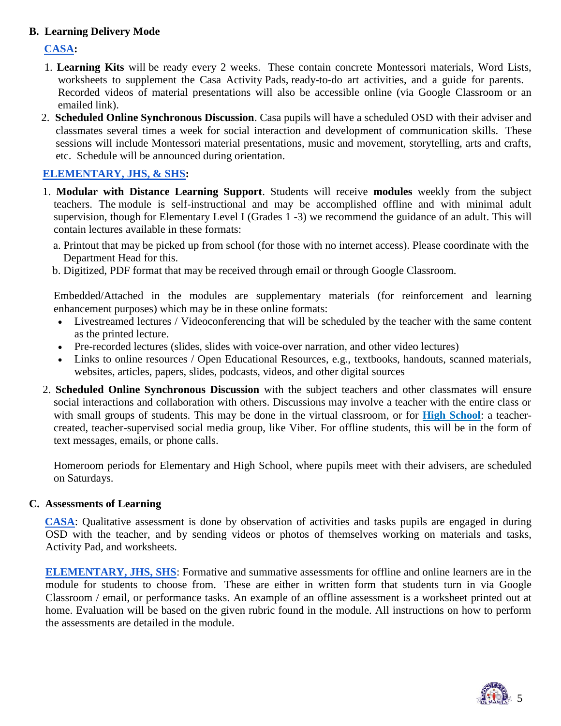### **B. Learning Delivery Mode**

### **CASA:**

- 1. **Learning Kits** will be ready every 2 weeks. These contain concrete Montessori materials, Word Lists, worksheets to supplement the Casa Activity Pads, ready-to-do art activities, and a guide for parents. Recorded videos of material presentations will also be accessible online (via Google Classroom or an emailed link).
- 2. **Scheduled Online Synchronous Discussion**. Casa pupils will have a scheduled OSD with their adviser and classmates several times a week for social interaction and development of communication skills. These sessions will include Montessori material presentations, music and movement, storytelling, arts and crafts, etc. Schedule will be announced during orientation.

# **ELEMENTARY, JHS, & SHS:**

- 1. **Modular with Distance Learning Support**. Students will receive **modules** weekly from the subject teachers. The module is self-instructional and may be accomplished offline and with minimal adult supervision, though for Elementary Level I (Grades 1 -3) we recommend the guidance of an adult. This will contain lectures available in these formats:
	- a. Printout that may be picked up from school (for those with no internet access). Please coordinate with the Department Head for this.
	- b. Digitized, PDF format that may be received through email or through Google Classroom.

 Embedded/Attached in the modules are supplementary materials (for reinforcement and learning enhancement purposes) which may be in these online formats:

- Livestreamed lectures / Videoconferencing that will be scheduled by the teacher with the same content as the printed lecture.
- Pre-recorded lectures (slides, slides with voice-over narration, and other video lectures)
- Links to online resources / Open Educational Resources, e.g., textbooks, handouts, scanned materials, websites, articles, papers, slides, podcasts, videos, and other digital sources
- 2. **Scheduled Online Synchronous Discussion** with the subject teachers and other classmates will ensure social interactions and collaboration with others. Discussions may involve a teacher with the entire class or with small groups of students. This may be done in the virtual classroom, or for **High School**: a teachercreated, teacher-supervised social media group, like Viber. For offline students, this will be in the form of text messages, emails, or phone calls.

Homeroom periods for Elementary and High School, where pupils meet with their advisers, are scheduled on Saturdays.

#### **C. Assessments of Learning**

 **CASA**: Qualitative assessment is done by observation of activities and tasks pupils are engaged in during OSD with the teacher, and by sending videos or photos of themselves working on materials and tasks, Activity Pad, and worksheets.

 **ELEMENTARY, JHS, SHS**: Formative and summative assessments for offline and online learners are in the module for students to choose from. These are either in written form that students turn in via Google Classroom / email, or performance tasks. An example of an offline assessment is a worksheet printed out at home. Evaluation will be based on the given rubric found in the module. All instructions on how to perform the assessments are detailed in the module.

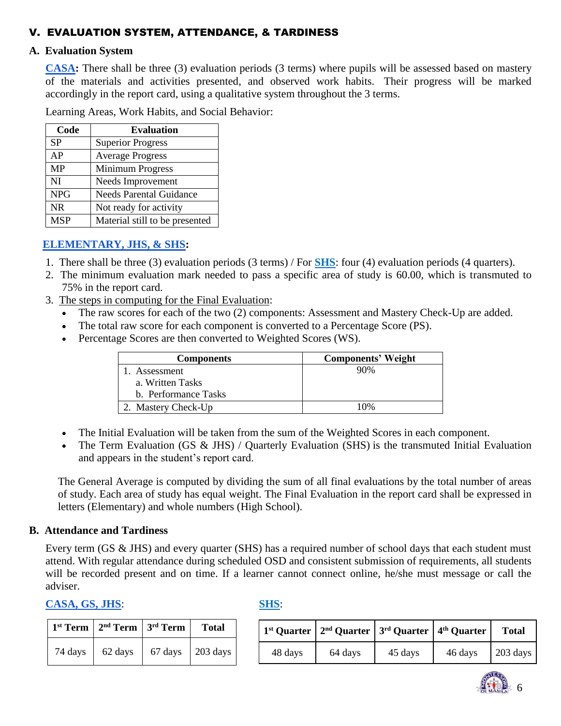# V. EVALUATION SYSTEM, ATTENDANCE, & TARDINESS

#### **A. Evaluation System**

 **CASA:** There shall be three (3) evaluation periods (3 terms) where pupils will be assessed based on mastery of the materials and activities presented, and observed work habits. Their progress will be marked accordingly in the report card, using a qualitative system throughout the 3 terms.

Learning Areas, Work Habits, and Social Behavior:

| Code       | <b>Evaluation</b>              |
|------------|--------------------------------|
| <b>SP</b>  | <b>Superior Progress</b>       |
| AP         | <b>Average Progress</b>        |
| <b>MP</b>  | Minimum Progress               |
| NI         | Needs Improvement              |
| <b>NPG</b> | <b>Needs Parental Guidance</b> |
| <b>NR</b>  | Not ready for activity         |
| <b>MSP</b> | Material still to be presented |

# **ELEMENTARY, JHS, & SHS:**

- 1. There shall be three (3) evaluation periods (3 terms) / For **SHS**: four (4) evaluation periods (4 quarters).
- 2. The minimum evaluation mark needed to pass a specific area of study is 60.00, which is transmuted to 75% in the report card.
- 3. The steps in computing for the Final Evaluation:
	- The raw scores for each of the two (2) components: Assessment and Mastery Check-Up are added.
	- The total raw score for each component is converted to a Percentage Score (PS).
	- Percentage Scores are then converted to Weighted Scores (WS).

| <b>Components</b>    | <b>Components' Weight</b> |
|----------------------|---------------------------|
| 1. Assessment        | 90%                       |
| a. Written Tasks     |                           |
| b. Performance Tasks |                           |
| 2. Mastery Check-Up  | 10%                       |

- The Initial Evaluation will be taken from the sum of the Weighted Scores in each component.
- The Term Evaluation (GS & JHS) / Quarterly Evaluation (SHS) is the transmuted Initial Evaluation and appears in the student's report card.

The General Average is computed by dividing the sum of all final evaluations by the total number of areas of study. Each area of study has equal weight. The Final Evaluation in the report card shall be expressed in letters (Elementary) and whole numbers (High School).

#### **B. Attendance and Tardiness**

Every term (GS & JHS) and every quarter (SHS) has a required number of school days that each student must attend. With regular attendance during scheduled OSD and consistent submission of requirements, all students will be recorded present and on time. If a learner cannot connect online, he/she must message or call the adviser.

#### **CASA, GS, JHS**: **SHS**:

|         | $1st$ Term   $2nd$ Term   $3rd$ Term |         | <b>Total</b>     |
|---------|--------------------------------------|---------|------------------|
| 74 days | 62 days                              | 67 days | $\vert$ 203 days |

|         | $1st$ Quarter $2nd$ Quarter $3rd$ Quarter $4th$ Quarter |         |         | <b>Total</b>       |
|---------|---------------------------------------------------------|---------|---------|--------------------|
| 48 days | 64 days                                                 | 45 days | 46 days | $203 \text{ days}$ |

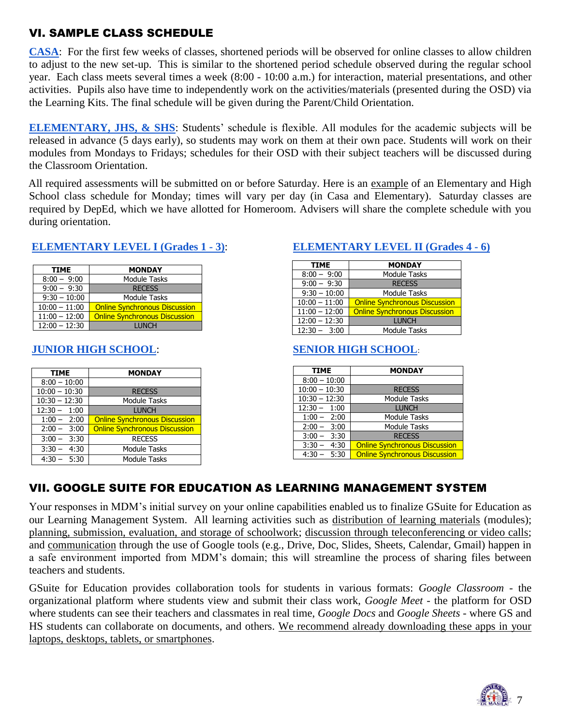# VI. SAMPLE CLASS SCHEDULE

**CASA**: For the first few weeks of classes, shortened periods will be observed for online classes to allow children to adjust to the new set-up. This is similar to the shortened period schedule observed during the regular school year. Each class meets several times a week (8:00 - 10:00 a.m.) for interaction, material presentations, and other activities. Pupils also have time to independently work on the activities/materials (presented during the OSD) via the Learning Kits. The final schedule will be given during the Parent/Child Orientation.

**ELEMENTARY, JHS, & SHS**: Students' schedule is flexible. All modules for the academic subjects will be released in advance (5 days early), so students may work on them at their own pace. Students will work on their modules from Mondays to Fridays; schedules for their OSD with their subject teachers will be discussed during the Classroom Orientation.

 All required assessments will be submitted on or before Saturday. Here is an example of an Elementary and High School class schedule for Monday; times will vary per day (in Casa and Elementary). Saturday classes are required by DepEd, which we have allotted for Homeroom. Advisers will share the complete schedule with you during orientation.

#### **ELEMENTARY LEVEL I (Grades 1 - 3)**: **ELEMENTARY LEVEL II (Grades 4 - 6)**

| <b>TIME</b>     | <b>MONDAY</b>                        |  |
|-----------------|--------------------------------------|--|
| $8:00 - 9:00$   | <b>Module Tasks</b>                  |  |
| $9:00 - 9:30$   | <b>RECESS</b>                        |  |
| $9:30 - 10:00$  | <b>Module Tasks</b>                  |  |
| $10:00 - 11:00$ | <b>Online Synchronous Discussion</b> |  |
| $11:00 - 12:00$ | <b>Online Synchronous Discussion</b> |  |
| $12:00 - 12:30$ | <b>LUNCH</b>                         |  |

# **JUNIOR HIGH SCHOOL**: **SENIOR HIGH SCHOOL**:

| <b>TIME</b>     | <b>MONDAY</b>                        |  |
|-----------------|--------------------------------------|--|
| $8:00 - 10:00$  |                                      |  |
| $10:00 - 10:30$ | <b>RECESS</b>                        |  |
| $10:30 - 12:30$ | <b>Module Tasks</b>                  |  |
| $12:30 - 1:00$  | <b>LUNCH</b>                         |  |
| $1:00 - 2:00$   | <b>Online Synchronous Discussion</b> |  |
| $2:00 - 3:00$   | <b>Online Synchronous Discussion</b> |  |
| $3:00 - 3:30$   | <b>RECESS</b>                        |  |
| $3:30 - 4:30$   | <b>Module Tasks</b>                  |  |
| $4:30 - 5:30$   | <b>Module Tasks</b>                  |  |

| <b>TIME</b>     | <b>MONDAY</b>                        |  |
|-----------------|--------------------------------------|--|
| $8:00 - 9:00$   | <b>Module Tasks</b>                  |  |
| $9:00 - 9:30$   | <b>RECESS</b>                        |  |
| $9:30 - 10:00$  | Module Tasks                         |  |
| $10:00 - 11:00$ | <b>Online Synchronous Discussion</b> |  |
| $11:00 - 12:00$ | <b>Online Synchronous Discussion</b> |  |
| $12:00 - 12:30$ | <b>LUNCH</b>                         |  |
| $12:30 - 3:00$  | <b>Module Tasks</b>                  |  |

| <b>TIME</b>     | <b>MONDAY</b>                        |  |
|-----------------|--------------------------------------|--|
| $8:00 - 10:00$  |                                      |  |
| $10:00 - 10:30$ | <b>RECESS</b>                        |  |
| $10:30 - 12:30$ | <b>Module Tasks</b>                  |  |
| $12:30 - 1:00$  | <b>LUNCH</b>                         |  |
| $1:00 - 2:00$   | <b>Module Tasks</b>                  |  |
| $2:00 - 3:00$   | <b>Module Tasks</b>                  |  |
| $3:00 - 3:30$   | <b>RECESS</b>                        |  |
| $3:30 - 4:30$   | <b>Online Synchronous Discussion</b> |  |
| $4:30 - 5:30$   | <b>Online Synchronous Discussion</b> |  |

# VII. GOOGLE SUITE FOR EDUCATION AS LEARNING MANAGEMENT SYSTEM

Your responses in MDM's initial survey on your online capabilities enabled us to finalize GSuite for Education as our Learning Management System. All learning activities such as distribution of learning materials (modules); planning, submission, evaluation, and storage of schoolwork; discussion through teleconferencing or video calls; and communication through the use of Google tools (e.g., Drive, Doc, Slides, Sheets, Calendar, Gmail) happen in a safe environment imported from MDM's domain; this will streamline the process of sharing files between teachers and students.

GSuite for Education provides collaboration tools for students in various formats: *Google Classroom* - the organizational platform where students view and submit their class work, *Google Meet* - the platform for OSD where students can see their teachers and classmates in real time, *Google Docs* and *Google Sheets* - where GS and HS students can collaborate on documents, and others. We recommend already downloading these apps in your laptops, desktops, tablets, or smartphones.

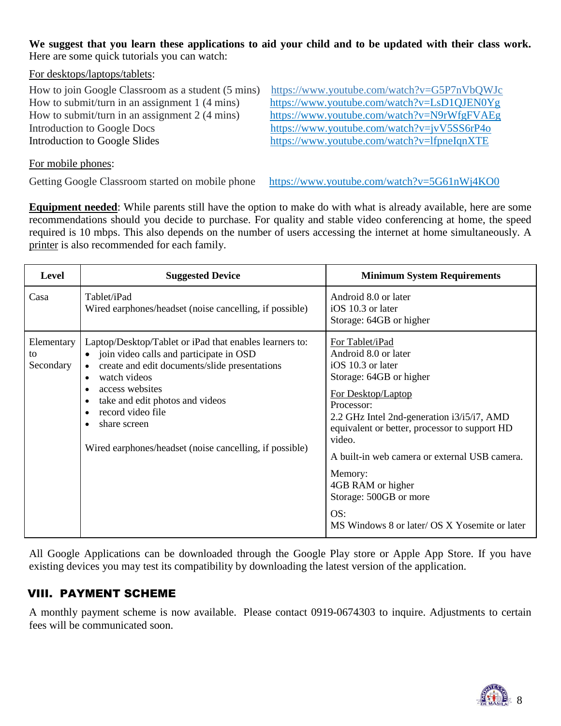**We suggest that you learn these applications to aid your child and to be updated with their class work.** Here are some quick tutorials you can watch:

For desktops/laptops/tablets:

How to join Google Classroom as a student (5 mins[\) https://www.youtube.com/watch?v=G5P7nVbQWJc](https://www.youtube.com/watch?v=G5P7nVbQWJc) Introduction to Google Docs <https://www.youtube.com/watch?v=jvV5SS6rP4o> Introduction to Google Slides <https://www.youtube.com/watch?v=lfpneIqnXTE>

How to submit/turn in an assignment 1 (4 mins) <https://www.youtube.com/watch?v=LsD1QJEN0Yg> How to submit/turn in an assignment 2 (4 mins) <https://www.youtube.com/watch?v=N9rWfgFVAEg>

For mobile phones:

Getting Google Classroom started on mobile phone <https://www.youtube.com/watch?v=5G61nWj4KO0>

**Equipment needed**: While parents still have the option to make do with what is already available, here are some recommendations should you decide to purchase. For quality and stable video conferencing at home, the speed required is 10 mbps. This also depends on the number of users accessing the internet at home simultaneously. A printer is also recommended for each family.

| Level                         | <b>Suggested Device</b>                                                                                                                                                                                                                                                                                                                | <b>Minimum System Requirements</b>                                                                                                                                                                                                                                                                                                                                                                      |
|-------------------------------|----------------------------------------------------------------------------------------------------------------------------------------------------------------------------------------------------------------------------------------------------------------------------------------------------------------------------------------|---------------------------------------------------------------------------------------------------------------------------------------------------------------------------------------------------------------------------------------------------------------------------------------------------------------------------------------------------------------------------------------------------------|
| Casa                          | Tablet/iPad<br>Wired earphones/headset (noise cancelling, if possible)                                                                                                                                                                                                                                                                 | Android 8.0 or later<br>iOS 10.3 or later<br>Storage: 64GB or higher                                                                                                                                                                                                                                                                                                                                    |
| Elementary<br>to<br>Secondary | Laptop/Desktop/Tablet or iPad that enables learners to:<br>join video calls and participate in OSD<br>$\bullet$<br>create and edit documents/slide presentations<br>watch videos<br>access websites<br>take and edit photos and videos<br>record video file<br>share screen<br>Wired earphones/headset (noise cancelling, if possible) | For Tablet/iPad<br>Android 8.0 or later<br>iOS 10.3 or later<br>Storage: 64GB or higher<br>For Desktop/Laptop<br>Processor:<br>2.2 GHz Intel 2nd-generation i3/i5/i7, AMD<br>equivalent or better, processor to support HD<br>video.<br>A built-in web camera or external USB camera.<br>Memory:<br>4GB RAM or higher<br>Storage: 500GB or more<br>OS:<br>MS Windows 8 or later/ OS X Yosemite or later |

All Google Applications can be downloaded through the Google Play store or Apple App Store. If you have existing devices you may test its compatibility by downloading the latest version of the application.

# VIII. PAYMENT SCHEME

A monthly payment scheme is now available. Please contact 0919-0674303 to inquire. Adjustments to certain fees will be communicated soon.